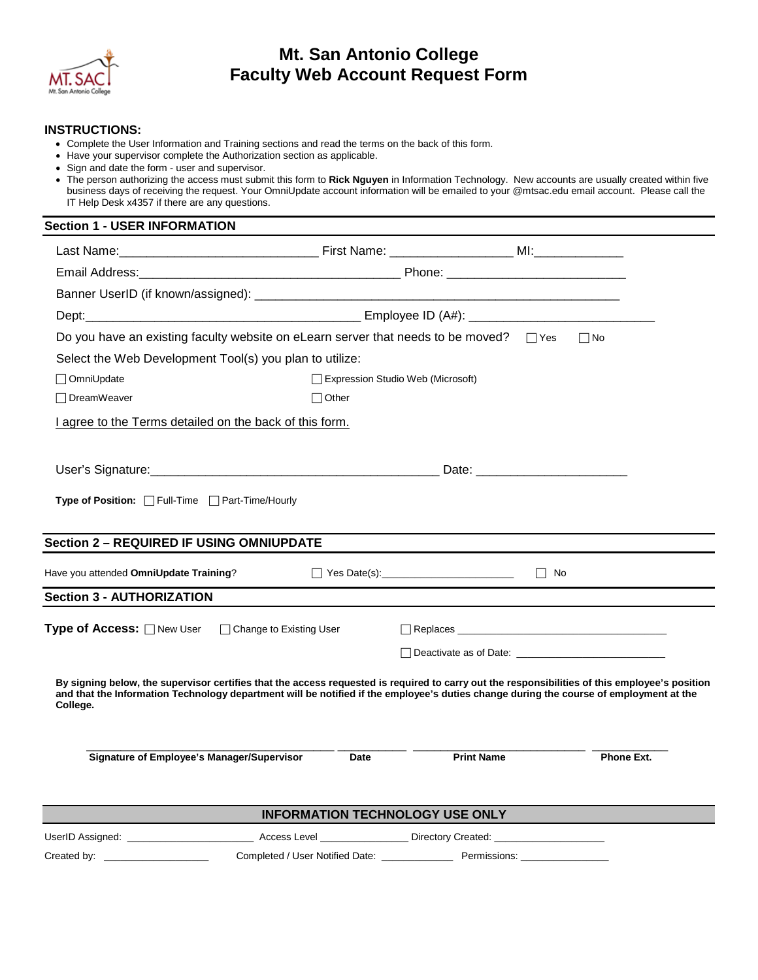

## **Mt. San Antonio College Faculty Web Account Request Form**

## **INSTRUCTIONS:**

- • Complete the User Information and Training sections and read the terms on the back of this form.
- Have your supervisor complete the Authorization section as applicable.
- Sign and date the form user and supervisor.

## **Section 1 - USER INFORMATION**

| Do you have an existing faculty website on eLearn server that needs to be moved? $\Box$ Yes                                                                                                                                                                                                          |              |                                                                           |           | $\Box$ No         |  |
|------------------------------------------------------------------------------------------------------------------------------------------------------------------------------------------------------------------------------------------------------------------------------------------------------|--------------|---------------------------------------------------------------------------|-----------|-------------------|--|
| Select the Web Development Tool(s) you plan to utilize:                                                                                                                                                                                                                                              |              |                                                                           |           |                   |  |
| □ OmniUpdate                                                                                                                                                                                                                                                                                         |              | Expression Studio Web (Microsoft)                                         |           |                   |  |
| □ DreamWeaver                                                                                                                                                                                                                                                                                        | $\Box$ Other |                                                                           |           |                   |  |
| I agree to the Terms detailed on the back of this form.                                                                                                                                                                                                                                              |              |                                                                           |           |                   |  |
|                                                                                                                                                                                                                                                                                                      |              |                                                                           |           |                   |  |
|                                                                                                                                                                                                                                                                                                      |              |                                                                           |           |                   |  |
| Type of Position: Full-Time Fleart-Time/Hourly                                                                                                                                                                                                                                                       |              |                                                                           |           |                   |  |
|                                                                                                                                                                                                                                                                                                      |              |                                                                           |           |                   |  |
| <b>Section 2 - REQUIRED IF USING OMNIUPDATE</b>                                                                                                                                                                                                                                                      |              |                                                                           |           |                   |  |
| Have you attended OmniUpdate Training?                                                                                                                                                                                                                                                               |              | $\Box$ Yes Date(s):                                                       | $\Box$ No |                   |  |
| <b>Section 3 - AUTHORIZATION</b>                                                                                                                                                                                                                                                                     |              |                                                                           |           |                   |  |
| Type of Access: □ New User □ Change to Existing User                                                                                                                                                                                                                                                 |              |                                                                           |           |                   |  |
|                                                                                                                                                                                                                                                                                                      |              |                                                                           |           |                   |  |
|                                                                                                                                                                                                                                                                                                      |              |                                                                           |           |                   |  |
| By signing below, the supervisor certifies that the access requested is required to carry out the responsibilities of this employee's position<br>and that the Information Technology department will be notified if the employee's duties change during the course of employment at the<br>College. |              |                                                                           |           |                   |  |
|                                                                                                                                                                                                                                                                                                      |              |                                                                           |           |                   |  |
| <b>Signature of Employee's Manager/Supervisor</b>                                                                                                                                                                                                                                                    | Date         | <b>Print Name</b>                                                         |           | <b>Phone Ext.</b> |  |
|                                                                                                                                                                                                                                                                                                      |              |                                                                           |           |                   |  |
| <b>INFORMATION TECHNOLOGY USE ONLY</b>                                                                                                                                                                                                                                                               |              |                                                                           |           |                   |  |
| UserID Assigned: _______________________________Access Level __________________Directory Created: ___                                                                                                                                                                                                |              |                                                                           |           |                   |  |
| Created by: ________________                                                                                                                                                                                                                                                                         |              | Completed / User Notified Date: ________________________ Permissions: ___ |           |                   |  |

 • The person authorizing the access must submit this form to **Rick Nguyen** in Information Technology. New accounts are usually created within five business days of receiving the request. Your OmniUpdate account information will be emailed to your @mtsac.edu email account. Please call the IT Help Desk x4357 if there are any questions.